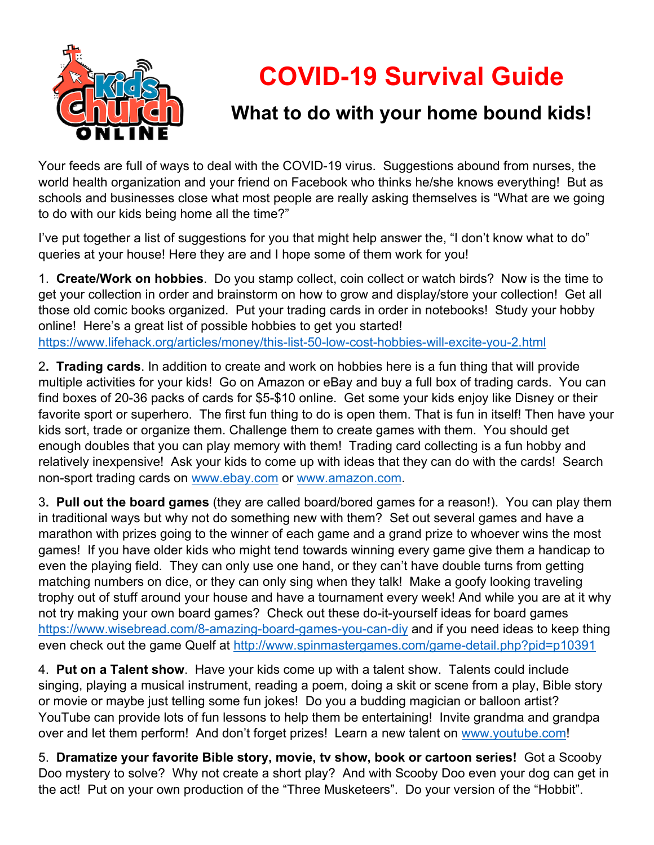

## **COVID-19 Survival Guide**

## **What to do with your home bound kids!**

Your feeds are full of ways to deal with the COVID-19 virus. Suggestions abound from nurses, the world health organization and your friend on Facebook who thinks he/she knows everything! But as schools and businesses close what most people are really asking themselves is "What are we going to do with our kids being home all the time?"

I've put together a list of suggestions for you that might help answer the, "I don't know what to do" queries at your house! Here they are and I hope some of them work for you!

1. **Create/Work on hobbies**. Do you stamp collect, coin collect or watch birds? Now is the time to get your collection in order and brainstorm on how to grow and display/store your collection! Get all those old comic books organized. Put your trading cards in order in notebooks! Study your hobby online! Here's a great list of possible hobbies to get you started! https://www.lifehack.org/articles/money/this-list-50-low-cost-hobbies-will-excite-you-2.html

2**. Trading cards**. In addition to create and work on hobbies here is a fun thing that will provide multiple activities for your kids! Go on Amazon or eBay and buy a full box of trading cards. You can find boxes of 20-36 packs of cards for \$5-\$10 online. Get some your kids enjoy like Disney or their favorite sport or superhero. The first fun thing to do is open them. That is fun in itself! Then have your kids sort, trade or organize them. Challenge them to create games with them. You should get enough doubles that you can play memory with them! Trading card collecting is a fun hobby and relatively inexpensive! Ask your kids to come up with ideas that they can do with the cards! Search non-sport trading cards on www.ebay.com or www.amazon.com.

3**. Pull out the board games** (they are called board/bored games for a reason!). You can play them in traditional ways but why not do something new with them? Set out several games and have a marathon with prizes going to the winner of each game and a grand prize to whoever wins the most games! If you have older kids who might tend towards winning every game give them a handicap to even the playing field. They can only use one hand, or they can't have double turns from getting matching numbers on dice, or they can only sing when they talk! Make a goofy looking traveling trophy out of stuff around your house and have a tournament every week! And while you are at it why not try making your own board games? Check out these do-it-yourself ideas for board games https://www.wisebread.com/8-amazing-board-games-you-can-diy and if you need ideas to keep thing even check out the game Quelf at http://www.spinmastergames.com/game-detail.php?pid=p10391

4. **Put on a Talent show**. Have your kids come up with a talent show. Talents could include singing, playing a musical instrument, reading a poem, doing a skit or scene from a play, Bible story or movie or maybe just telling some fun jokes! Do you a budding magician or balloon artist? YouTube can provide lots of fun lessons to help them be entertaining! Invite grandma and grandpa over and let them perform! And don't forget prizes! Learn a new talent on www.youtube.com!

5. **Dramatize your favorite Bible story, movie, tv show, book or cartoon series!** Got a Scooby Doo mystery to solve? Why not create a short play? And with Scooby Doo even your dog can get in the act! Put on your own production of the "Three Musketeers". Do your version of the "Hobbit".